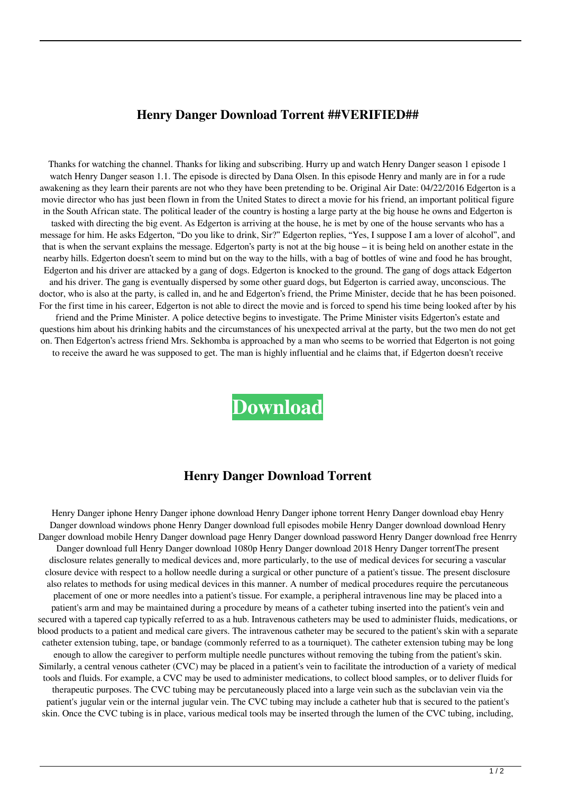## **Henry Danger Download Torrent ##VERIFIED##**

Thanks for watching the channel. Thanks for liking and subscribing. Hurry up and watch Henry Danger season 1 episode 1 watch Henry Danger season 1.1. The episode is directed by Dana Olsen. In this episode Henry and manly are in for a rude awakening as they learn their parents are not who they have been pretending to be. Original Air Date: 04/22/2016 Edgerton is a movie director who has just been flown in from the United States to direct a movie for his friend, an important political figure in the South African state. The political leader of the country is hosting a large party at the big house he owns and Edgerton is tasked with directing the big event. As Edgerton is arriving at the house, he is met by one of the house servants who has a message for him. He asks Edgerton, "Do you like to drink, Sir?" Edgerton replies, "Yes, I suppose I am a lover of alcohol", and that is when the servant explains the message. Edgerton's party is not at the big house – it is being held on another estate in the nearby hills. Edgerton doesn't seem to mind but on the way to the hills, with a bag of bottles of wine and food he has brought, Edgerton and his driver are attacked by a gang of dogs. Edgerton is knocked to the ground. The gang of dogs attack Edgerton and his driver. The gang is eventually dispersed by some other guard dogs, but Edgerton is carried away, unconscious. The doctor, who is also at the party, is called in, and he and Edgerton's friend, the Prime Minister, decide that he has been poisoned. For the first time in his career, Edgerton is not able to direct the movie and is forced to spend his time being looked after by his friend and the Prime Minister. A police detective begins to investigate. The Prime Minister visits Edgerton's estate and questions him about his drinking habits and the circumstances of his unexpected arrival at the party, but the two men do not get on. Then Edgerton's actress friend Mrs. Sekhomba is approached by a man who seems to be worried that Edgerton is not going to receive the award he was supposed to get. The man is highly influential and he claims that, if Edgerton doesn't receive

**[Download](http://evacdir.com/disliked/?ZG93bmxvYWR8cVowWjJjMFpueDhNVFkxTlRnME1qazRNWHg4TWpVNU1IeDhLRTBwSUZkdmNtUndjbVZ6Y3lCYldFMU1VbEJESUZZeUlGQkVSbDA=handwrap&pittas=SGVucnkgRGFuZ2VyIGRvd25sb2FkIHRvcnJlbnQSGV.rochefort.midshipman/networkers/)**

## **Henry Danger Download Torrent**

Henry Danger iphone Henry Danger iphone download Henry Danger iphone torrent Henry Danger download ebay Henry Danger download windows phone Henry Danger download full episodes mobile Henry Danger download download Henry Danger download mobile Henry Danger download page Henry Danger download password Henry Danger download free Henrry Danger download full Henry Danger download 1080p Henry Danger download 2018 Henry Danger torrentThe present disclosure relates generally to medical devices and, more particularly, to the use of medical devices for securing a vascular closure device with respect to a hollow needle during a surgical or other puncture of a patient's tissue. The present disclosure also relates to methods for using medical devices in this manner. A number of medical procedures require the percutaneous placement of one or more needles into a patient's tissue. For example, a peripheral intravenous line may be placed into a patient's arm and may be maintained during a procedure by means of a catheter tubing inserted into the patient's vein and secured with a tapered cap typically referred to as a hub. Intravenous catheters may be used to administer fluids, medications, or blood products to a patient and medical care givers. The intravenous catheter may be secured to the patient's skin with a separate catheter extension tubing, tape, or bandage (commonly referred to as a tourniquet). The catheter extension tubing may be long enough to allow the caregiver to perform multiple needle punctures without removing the tubing from the patient's skin. Similarly, a central venous catheter (CVC) may be placed in a patient's vein to facilitate the introduction of a variety of medical tools and fluids. For example, a CVC may be used to administer medications, to collect blood samples, or to deliver fluids for therapeutic purposes. The CVC tubing may be percutaneously placed into a large vein such as the subclavian vein via the patient's jugular vein or the internal jugular vein. The CVC tubing may include a catheter hub that is secured to the patient's skin. Once the CVC tubing is in place, various medical tools may be inserted through the lumen of the CVC tubing, including,